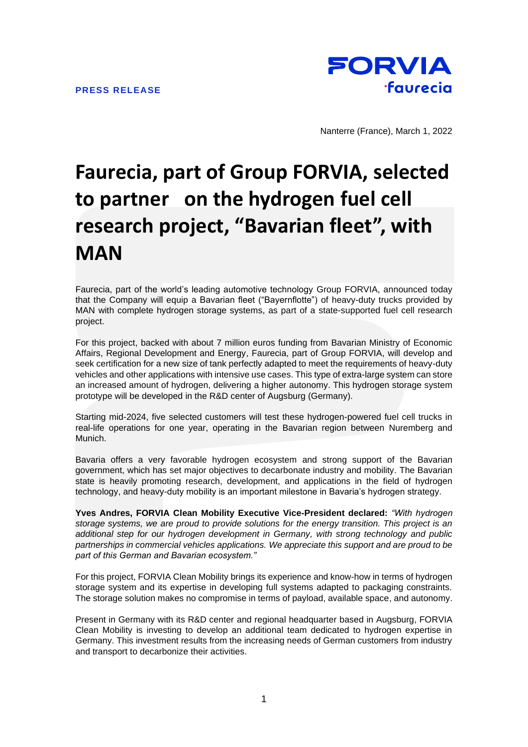

Nanterre (France), March 1, 2022

## **Faurecia, part of Group FORVIA, selected to partner on the hydrogen fuel cell research project, "Bavarian fleet", with MAN**

Faurecia, part of the world's leading automotive technology Group FORVIA, announced today that the Company will equip a Bavarian fleet ("Bayernflotte") of heavy-duty trucks provided by MAN with complete hydrogen storage systems, as part of a state-supported fuel cell research project.

For this project, backed with about 7 million euros funding from Bavarian Ministry of Economic Affairs, Regional Development and Energy, Faurecia, part of Group FORVIA, will develop and seek certification for a new size of tank perfectly adapted to meet the requirements of heavy-duty vehicles and other applications with intensive use cases. This type of extra-large system can store an increased amount of hydrogen, delivering a higher autonomy. This hydrogen storage system prototype will be developed in the R&D center of Augsburg (Germany).

Starting mid-2024, five selected customers will test these hydrogen-powered fuel cell trucks in real-life operations for one year, operating in the Bavarian region between Nuremberg and Munich.

Bavaria offers a very favorable hydrogen ecosystem and strong support of the Bavarian government, which has set major objectives to decarbonate industry and mobility. The Bavarian state is heavily promoting research, development, and applications in the field of hydrogen technology, and heavy-duty mobility is an important milestone in Bavaria's hydrogen strategy.

**Yves Andres, FORVIA Clean Mobility Executive Vice-President declared:** *"With hydrogen storage systems, we are proud to provide solutions for the energy transition. This project is an additional step for our hydrogen development in Germany, with strong technology and public partnerships in commercial vehicles applications. We appreciate this support and are proud to be part of this German and Bavarian ecosystem."*

For this project, FORVIA Clean Mobility brings its experience and know-how in terms of hydrogen storage system and its expertise in developing full systems adapted to packaging constraints. The storage solution makes no compromise in terms of payload, available space, and autonomy.

Present in Germany with its R&D center and regional headquarter based in Augsburg, FORVIA Clean Mobility is investing to develop an additional team dedicated to hydrogen expertise in Germany. This investment results from the increasing needs of German customers from industry and transport to decarbonize their activities.